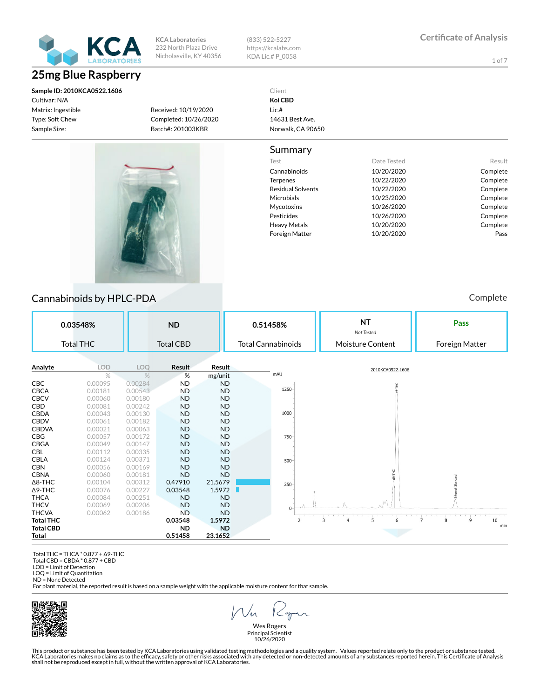

## **25mg Blue Raspberry**

**Sample ID: 2010KCA0522.1606** Cultivar: N/A Matrix: Ingestible Type: Soft Chew Sample Size:

**KCA Laboratories** 232 North Plaza Drive Nicholasville, KY 40356 (833) 522-5227 https://kcalabs.com KDA Lic.# P\_0058

1 of 7

Received: 10/19/2020 Completed: 10/26/2020 Batch#: 201003KBR

Client **Koi CBD** Lic.# 14631 Best Ave. Norwalk, CA 90650

#### Summary

| Test              | Date Tested | Result   |
|-------------------|-------------|----------|
| Cannabinoids      | 10/20/2020  | Complete |
| <b>Terpenes</b>   | 10/22/2020  | Complete |
| Residual Solvents | 10/22/2020  | Complete |
| Microbials        | 10/23/2020  | Complete |
| Mycotoxins        | 10/26/2020  | Complete |
| Pesticides        | 10/26/2020  | Complete |
| Heavy Metals      | 10/20/2020  | Complete |
| Foreign Matter    | 10/20/2020  | Pass     |



#### Cannabinoids by HPLC-PDA **Complete** Cannabinoids by HPLC-PDA

**NT Pass 0.03548% ND 0.51458%** *Not Tested* Total THC Total CBD Total Cannabinoids Moisture Content Foreign Matter **Analyte LOD LOQ Result Result** 2010KCA0522.1606 mAU % % % mg/unit **CBC** 0.00095 0.00284 **ND ND**<br>**CBCA** 0.00181 0.00543 **ND ND** 1250 **CBCA** 0.00181<br>**CBCV** 0.00060 CBCV 0.00060 0.00180 ND ND CBD 0.00081 0.00242 ND ND **CBDA** 0.00043 0.00130 **ND ND**<br>**CBDV** 0.00061 0.00182 **ND ND** 1000 0.00061 0.00182 ND<br>0.00021 0.00063 ND CBDVA 0.00021 0.00063 ND ND CBG 0.00057 0.00172 ND ND 750 **CBGA** 0.00049 0.00147 **ND ND**<br>**CBL** 0.00112 0.00335 **ND ND**  $0.00112$ CBLA 0.00124 0.00371 ND ND 500 **CBN 0.00056 0.00169 ND ND<br>CBNA 0.00060 0.00181 ND ND CBNA** 0.00060 0.00181 **ND ND**<br> **A8-THC** 0.00104 0.00312 **0.47910 21.5679** Δ8-THC 0.00104 0.00312 0.47910 21.5679  $250 -$ Δ9-THC 0.00076 0.00227 0.03548 1.5972 **THCA** 0.00084 0.00251 **ND ND**<br>**THCV** 0.00069 0.00206 **ND ND** 0.00206 THCVA 0.00062 0.00186 ND ND **Total THC 0.03548 1.5972**  $\overline{z}$  $\overline{\mathbf{3}}$  $\frac{1}{4}$  $\overline{5}$  $\ddot{6}$  $\overline{z}$  $\overline{8}$  $\frac{1}{9}$  $10\,$ min **Total CBD ND ND Total 0.51458** 

 Total THC = THCA \* 0.877 + Δ9-THC Total CBD = CBDA \* 0.877 + CBD

LOD = Limit of Detection

LOQ = Limit of Quantitation ND = None Detected

For plant material, the reported result is based on a sample weight with the applicable moisture content for that sample.



 $\sqrt{2}$  $1 < \gamma$ 

Wes Rogers Principal Scientist 10/26/2020

This product or substance has been tested by KCA Laboratories using validated testing methodologies and a quality system. Values reported relate only to the product or substance tested.<br>KCA Laboratories makes no claims as shall not be reproduced except in full, without the written approval of KCA Laboratories.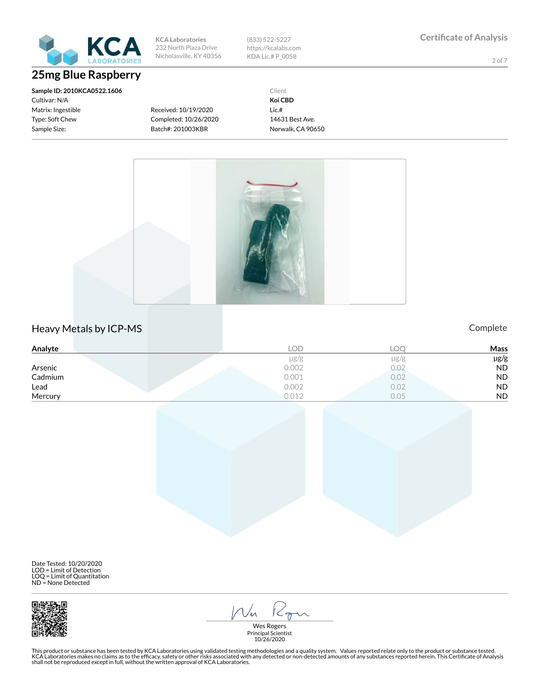

## **25mg Blue Raspberry**

**Sample ID: 2010KCA0522.1606** Cultivar: N/A Matrix: Ingestible Type: Soft Chew Sample Size:

**KCA Laboratories** 232 North Plaza Drive Nicholasville, KY 40356 (833) 522-5227 https://kcalabs.com KDA Lic.# P\_0058

2 of 7

Received: 10/19/2020 Completed: 10/26/2020 Batch#: 201003KBR

Client **Koi CBD** Lic.# 14631 Best Ave. Norwalk, CA 90650



### Heavy Metals by ICP-MS **Complete**

| Analyte | LOD       | _ററ       | Mass      |
|---------|-----------|-----------|-----------|
|         | $\mu$ g/g | $\mu$ g/g | µg/g      |
| Arsenic | 0.002     | 0.02      | <b>ND</b> |
| Cadmium | 0.001     | 0.02      | <b>ND</b> |
| Lead    | 0.002     | 0.02      | <b>ND</b> |
| Mercury | 0.012     | 0.05      | <b>ND</b> |

Date Tested: 10/20/2020 LOD = Limit of Detection LOQ = Limit of Quantitation ND = None Detected



 $\mathcal{N}_{n}$  $1 < 0$ 

Wes Rogers Principal Scientist 10/26/2020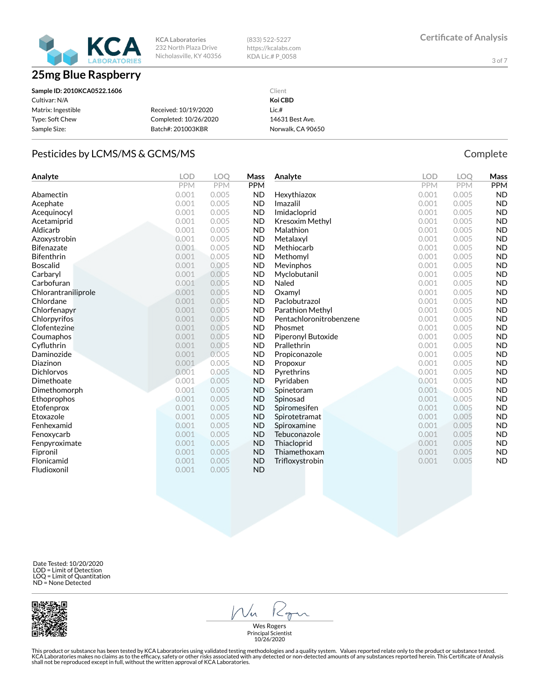

(833) 522-5227 https://kcalabs.com KDA Lic.# P\_0058

3 of 7

| Sample ID: 2010KCA0522.1606 |                       | Client            |
|-----------------------------|-----------------------|-------------------|
| Cultivar: N/A               |                       | Koi CBD           |
| Matrix: Ingestible          | Received: 10/19/2020  | Lic.#             |
| Type: Soft Chew             | Completed: 10/26/2020 | 14631 Best Ave.   |
| Sample Size:                | Batch#: 201003KBR     | Norwalk, CA 90650 |

#### Pesticides by LCMS/MS & GCMS/MS Complete

**Analyte LOD LOQ Mass** PPM PPM PPM **Abamectin** 0.001 0.005 **ND** Acephate 0.001 0.005 ND Acequinocyl 0.001 0.005 ND Acetamiprid 0.001 0.005 ND Aldicarb 0.001 0.005 ND Azoxystrobin 0.001 0.005 ND Bifenazate 0.001 0.005 ND **Bifenthrin** 0.001 0.005 **ND Boscalid 6.001 0.005 ND** Carbaryl 0.001 0.005 ND Carbofuran 0.001 0.005 ND **Chlorantraniliprole** 0.001 0.005 ND<br> **Chlordane** 0.001 0.005 ND Chlordane 0.001 0.005 ND Chlorfenapyr 0.001 0.005 ND Chlorpyrifos 0.001 0.005 ND Clofentezine 0.001 0.005 ND Coumaphos 0.001 0.005 ND **Cyfluthrin 1999 10.0001 0.0001 10.0005 ND** Daminozide 0.001 0.005 ND Diazinon 0.001 0.005 ND Dichlorvos 0.001 0.005 ND Dimethoate 0.001 0.005 ND Dimethomorph 0.001 0.005 ND Ethoprophos 0.001 0.005 ND Etofenprox 0.001 0.005 ND Etoxazole 0.001 0.005 ND **Fenhexamid 10.001 0.005 ND** Fenoxycarb 0.001 0.005 ND Fenpyroximate  $0.001$  0.005 ND Fipronil 0.001 0.005 ND Flonicamid 0.001 0.005 ND Fludioxonil 0.001 0.005 ND **Analyte LOD LOQ Mass** PPM **PPM Hexythiazox 0.001 0.005 ND** Imazalil 0.001 0.005 ND Imidacloprid 0.001 0.005 ND Kresoxim Methyl **COLUMPT** 0.001 0.005 ND **Malathion** 0.001 0.005 **ND** Metalaxyl 0.001 0.005 ND **Methiocarb 0.001 0.005 ND Methomyl** 0.001 0.005 **ND** Mevinphos 0.001 0.005 ND Myclobutanil 0.001 0.005 ND **Naled 1988 10.001 1.0000 1.0000 ND Oxamyl 0.001 0.005 ND** Paclobutrazol 0.001 0.005 ND Parathion Methyl **Deparathion Methyl COLL OLOGE** ND Pentachloronitrobenzene 0.001 0.005 ND **Phosmet 0.001 0.005 ND** Piperonyl Butoxide 0.001 0.005 ND **Prallethrin 0.001 0.005 ND** Propiconazole 0.001 0.005 ND Propoxur 0.001 0.005 ND **Pyrethrins 0.001 0.005 ND Pyridaben 1988** 0.001 0.005 **ND** Spinetoram 0.001 0.005 ND **Spinosad 0.001 0.005 ND** Spiromesifen 0.001 0.005 ND Spirotetramat 0.001 0.005 ND Spiroxamine 0.001 0.005 ND Tebuconazole 0.001 0.005 ND Thiacloprid 0.001 0.005 ND Thiamethoxam 0.001 0.005 ND Trifloxystrobin 0.001 0.005 ND

 Date Tested: 10/20/2020 LOD = Limit of Detection LOQ = Limit of Quantitation ND = None Detected



Vn Kgn

Wes Rogers Principal Scientist 10/26/2020

This product or substance has been tested by KCA Laboratories using validated testing methodologies and a quality system. Values reported relate only to the product or substance tested.<br>KCA Laboratories makes no claims as shall not be reproduced except in full, without the written approval of KCA Laboratories.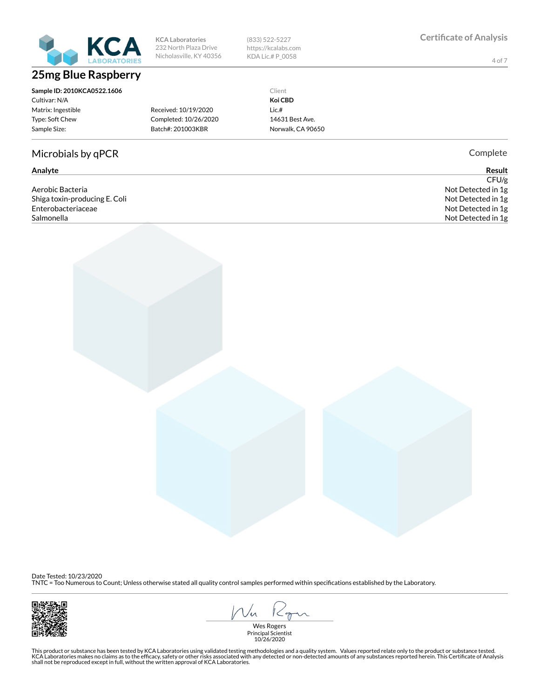

# **25mg Blue Raspberry**

232 North Plaza Drive Nicholasville, KY 40356

**KCA Laboratories**

(833) 522-5227 https://kcalabs.com KDA Lic.# P\_0058

4 of 7

**Sample ID: 2010KCA0522.1606** Cultivar: N/A Matrix: Ingestible Type: Soft Chew Sample Size: Received: 10/19/2020 Completed: 10/26/2020 Batch#: 201003KBR

Microbials by qPCR Complete

Aerobic Bacteria Not Detected in 1g Shiga toxin-producing E. Coli **Not Detected in 1g** and the state of the state of the state of the state of the state of the state of the state of the state of the state of the state of the state of the state of the state o Enterobacteriaceae Not Detected in 1g Salmonella Not Detected in 1g

Client **Koi CBD** Lic.# 14631 Best Ave. Norwalk, CA 90650

**Analyte Result**  $CFU/g$ 

Date Tested: 10/23/2020

TNTC = Too Numerous to Count; Unless otherwise stated all quality control samples performed within specications established by the Laboratory.



Vn  $1 < 0$ 

Wes Rogers Principal Scientist 10/26/2020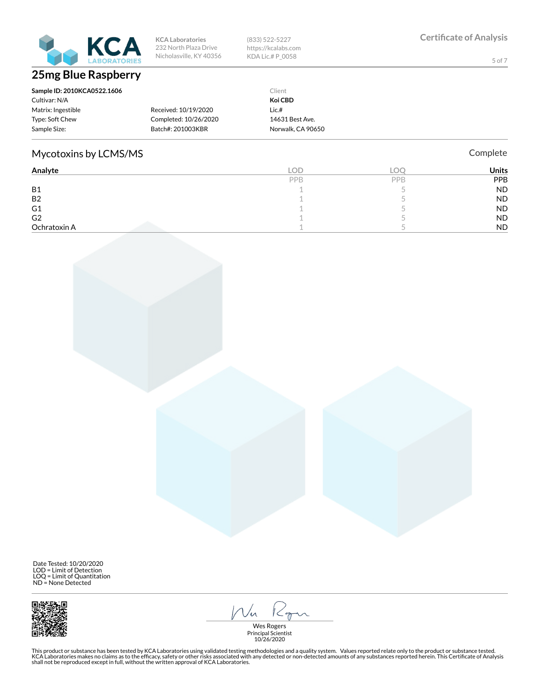

(833) 522-5227 https://kcalabs.com KDA Lic.# P\_0058

5 of 7

| Sample ID: 2010KCA0522.1606 |                       | Client            |
|-----------------------------|-----------------------|-------------------|
| Cultivar: N/A               |                       | Koi CBD           |
| Matrix: Ingestible          | Received: 10/19/2020  | Lie.#             |
| Type: Soft Chew             | Completed: 10/26/2020 | 14631 Best Ave.   |
| Sample Size:                | Batch#: 201003KBR     | Norwalk, CA 90650 |

### Mycotoxins by LCMS/MS **Complete** Complete

**Analyte LOD LOQ Units** PPB PPB PPB PPB B1  $\qquad \qquad 1$  5 ND B2  $1$  5 ND G1 and  $\begin{array}{ccccc} 1 & 5 & 1 \end{array}$  ND G2 and  $\overline{1}$  and  $\overline{5}$  of  $\overline{1}$  be the set of  $\overline{5}$  of  $\overline{1}$  be the  $\overline{5}$  of  $\overline{1}$  be the  $\overline{5}$  of  $\overline{1}$  be the  $\overline{5}$  of  $\overline{1}$  be the  $\overline{1}$  be the  $\overline{1}$  be the  $\overline{1}$  be the  $\overline{1$ Ochratoxin A 1 5 ND

 Date Tested: 10/20/2020 LOD = Limit of Detection LOQ = Limit of Quantitation ND = None Detected



Kgn  $1/\sqrt{n}$ 

Wes Rogers Principal Scientist 10/26/2020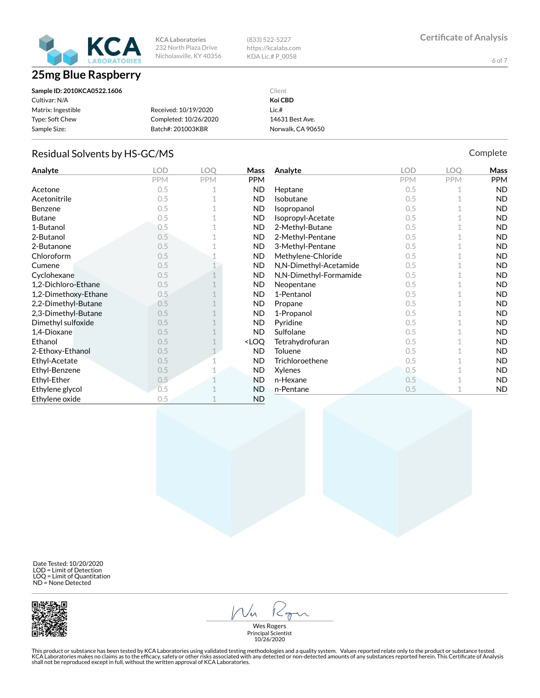

(833) 522-5227 https://kcalabs.com KDA Lic.# P\_0058

6 of 7

| Sample ID: 2010KCA0522.1606 |                       | Client            |
|-----------------------------|-----------------------|-------------------|
| Cultivar: N/A               |                       | Koi CBD           |
| Matrix: Ingestible          | Received: 10/19/2020  | $Lie.$ #          |
| Type: Soft Chew             | Completed: 10/26/2020 | 14631 Best Ave.   |
| Sample Size:                | Batch#: 201003KBR     | Norwalk, CA 90650 |

#### Residual Solvents by HS-GC/MS Complete

**Analyte LOD LOQ Mass** PPM **PPM** PPM Acetone 0.5 1 ND Acetonitrile 0.5 1 ND Benzene 0.5 1 ND Butane 0.5 1 ND 1-Butanol 0.5 1 ND 2-Butanol 0.5 1 ND 2-Butanone 0.5 1 ND Chloroform 0.5 1 ND **Cumene** 0.5 1 ND Cyclohexane 0.5 1 ND 1,2-Dichloro-Ethane 0.5 1 ND 1,2-Dimethoxy-Ethane 0.5 1 ND 2,2-Dimethyl-Butane 0.5 1 ND 2,3-Dimethyl-Butane 0.5 1 ND Dimethyl sulfoxide 0.5 1 ND **1,4-Dioxane** 0.5 1 ND Ethanol  $0.5$  1  $\sim$  LOQ 2-Ethoxy-Ethanol 0.5 1 ND Ethyl-Acetate 0.5 1 ND Ethyl-Benzene 0.5 1 ND Ethyl-Ether 0.5 1 ND Ethylene glycol 0.5 1 ND Ethylene oxide 0.5 1 ND **Analyte LOD LOQ Mass** PPM **PPM** PPM Heptane 0.5 1 ND **Isobutane** 0.5 1 ND **Isopropanol** 0.5 1 ND **Isopropyl-Acetate** 0.5 1 **ND** 2-Methyl-Butane 0.5 1 ND 2-Methyl-Pentane 0.5 1 ND 3-Methyl-Pentane 0.5 1 ND Methylene-Chloride 0.5 1 ND N,N-Dimethyl-Acetamide 0.5 1 ND N,N-Dimethyl-Formamide 0.5 1 ND Neopentane 0.5 1 ND 1-Pentanol 0.5 1 ND Propane 0.5 1 ND 1-Propanol 0.5 1 ND Pyridine 0.5 1 ND Sulfolane 0.5 1 ND Tetrahydrofuran 0.5 1 ND Toluene  $0.5$  1 ND Trichloroethene 0.5 1 ND  $X$ ylenes  $0.5$  1 ND n-Hexane 0.5 1 ND n-Pentane 0.5 1 ND

 Date Tested: 10/20/2020 LOD = Limit of Detection LOQ = Limit of Quantitation ND = None Detected



 $K_{\sigma}$  $1/\sqrt{n}$ 

Wes Rogers Principal Scientist 10/26/2020

This product or substance has been tested by KCA Laboratories using validated testing methodologies and a quality system. Values reported relate only to the product or substance tested.<br>KCA Laboratories makes no claims as shall not be reproduced except in full, without the written approval of KCA Laboratories.